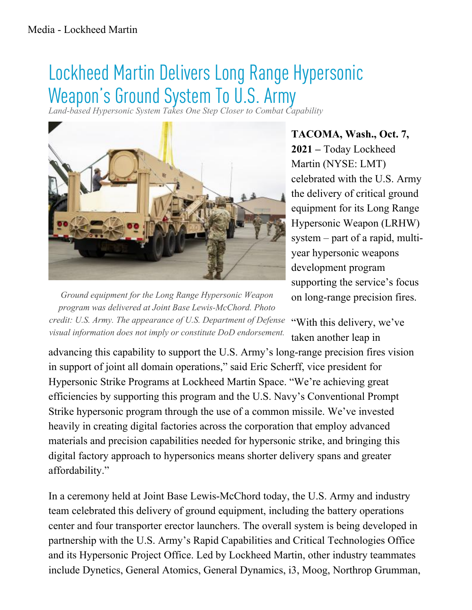## Lockheed Martin Delivers Long Range Hypersonic Weapon's Ground System To U.S. Army

*Land-based Hypersonic System Takes One Step Closer to Combat Capability*



Ground equipment for the Long Range Hypersonic Weapon program was delivered at Joint Base Lewis-McChord. Photo credit: U.S. Army. The appearance of U.S. Department of Defense "With this delivery, we've visual information does not imply or constitute DoD endorsement.

**TACOMA, Wash., Oct. 7, 2021 –** Today Lockheed Martin (NYSE: LMT) celebrated with the U.S. Army the delivery of critical ground equipment for its Long Range Hypersonic Weapon (LRHW) system – part of a rapid, multiyear hypersonic weapons development program supporting the service's focus on long-range precision fires.

taken another leap in

advancing this capability to support the U.S. Army's long-range precision fires vision in support of joint all domain operations," said Eric Scherff, vice president for Hypersonic Strike Programs at Lockheed Martin Space. "We're achieving great efficiencies by supporting this program and the U.S. Navy's Conventional Prompt Strike hypersonic program through the use of a common missile. We've invested heavily in creating digital factories across the corporation that employ advanced materials and precision capabilities needed for hypersonic strike, and bringing this digital factory approach to hypersonics means shorter delivery spans and greater affordability."

In a ceremony held at Joint Base Lewis-McChord today, the U.S. Army and industry team celebrated this delivery of ground equipment, including the battery operations center and four transporter erector launchers. The overall system is being developed in partnership with the U.S. Army's Rapid Capabilities and Critical Technologies Office and its Hypersonic Project Office. Led by Lockheed Martin, other industry teammates include Dynetics, General Atomics, General Dynamics, i3, Moog, Northrop Grumman,